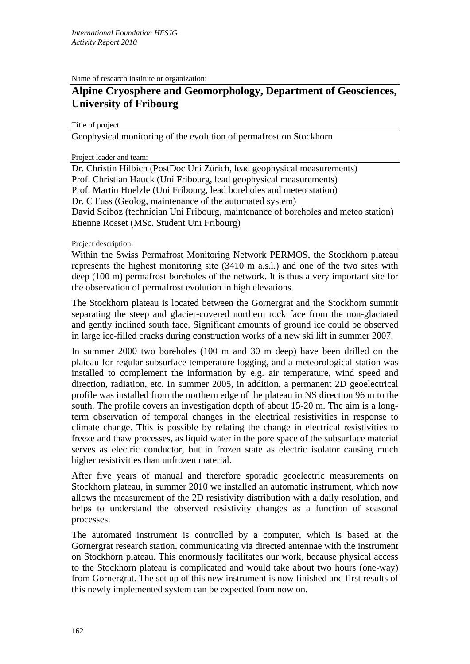Name of research institute or organization:

## **Alpine Cryosphere and Geomorphology, Department of Geosciences, University of Fribourg**

Title of project:

Geophysical monitoring of the evolution of permafrost on Stockhorn

Project leader and team:

Dr. Christin Hilbich (PostDoc Uni Zürich, lead geophysical measurements) Prof. Christian Hauck (Uni Fribourg, lead geophysical measurements) Prof. Martin Hoelzle (Uni Fribourg, lead boreholes and meteo station) Dr. C Fuss (Geolog, maintenance of the automated system) David Sciboz (technician Uni Fribourg, maintenance of boreholes and meteo station) Etienne Rosset (MSc. Student Uni Fribourg)

Project description:

Within the Swiss Permafrost Monitoring Network PERMOS, the Stockhorn plateau represents the highest monitoring site (3410 m a.s.l.) and one of the two sites with deep (100 m) permafrost boreholes of the network. It is thus a very important site for the observation of permafrost evolution in high elevations.

The Stockhorn plateau is located between the Gornergrat and the Stockhorn summit separating the steep and glacier-covered northern rock face from the non-glaciated and gently inclined south face. Significant amounts of ground ice could be observed in large ice-filled cracks during construction works of a new ski lift in summer 2007.

In summer 2000 two boreholes (100 m and 30 m deep) have been drilled on the plateau for regular subsurface temperature logging, and a meteorological station was installed to complement the information by e.g. air temperature, wind speed and direction, radiation, etc. In summer 2005, in addition, a permanent 2D geoelectrical profile was installed from the northern edge of the plateau in NS direction 96 m to the south. The profile covers an investigation depth of about 15-20 m. The aim is a longterm observation of temporal changes in the electrical resistivities in response to climate change. This is possible by relating the change in electrical resistivities to freeze and thaw processes, as liquid water in the pore space of the subsurface material serves as electric conductor, but in frozen state as electric isolator causing much higher resistivities than unfrozen material.

After five years of manual and therefore sporadic geoelectric measurements on Stockhorn plateau, in summer 2010 we installed an automatic instrument, which now allows the measurement of the 2D resistivity distribution with a daily resolution, and helps to understand the observed resistivity changes as a function of seasonal processes.

The automated instrument is controlled by a computer, which is based at the Gornergrat research station, communicating via directed antennae with the instrument on Stockhorn plateau. This enormously facilitates our work, because physical access to the Stockhorn plateau is complicated and would take about two hours (one-way) from Gornergrat. The set up of this new instrument is now finished and first results of this newly implemented system can be expected from now on.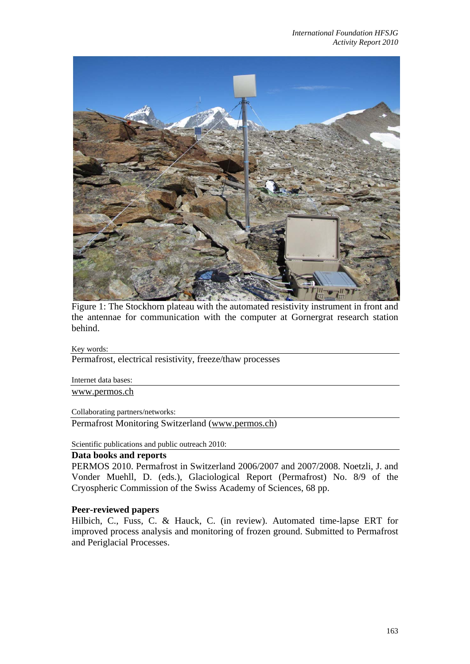

Figure 1: The Stockhorn plateau with the automated resistivity instrument in front and the antennae for communication with the computer at Gornergrat research station behind.

## Key words:

Permafrost, electrical resistivity, freeze/thaw processes

Internet data bases:

www.permos.ch

Collaborating partners/networks:

Permafrost Monitoring Switzerland (www.permos.ch)

Scientific publications and public outreach 2010:

## **Data books and reports**

PERMOS 2010. Permafrost in Switzerland 2006/2007 and 2007/2008. Noetzli, J. and Vonder Muehll, D. (eds.), Glaciological Report (Permafrost) No. 8/9 of the Cryospheric Commission of the Swiss Academy of Sciences, 68 pp.

## **Peer-reviewed papers**

Hilbich, C., Fuss, C. & Hauck, C. (in review). Automated time-lapse ERT for improved process analysis and monitoring of frozen ground. Submitted to Permafrost and Periglacial Processes.